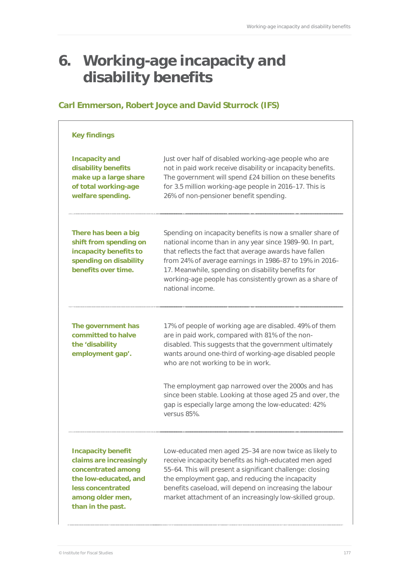# **6. Working-age incapacity and disability benefits**

# **Carl Emmerson, Robert Joyce and David Sturrock (IFS)**

#### **Key findings**

| <b>Incapacity and</b><br>disability benefits<br>make up a large share<br>of total working-age<br>welfare spending.                                                | Just over half of disabled working-age people who are<br>not in paid work receive disability or incapacity benefits.<br>The government will spend £24 billion on these benefits<br>for 3.5 million working-age people in 2016-17. This is<br>26% of non-pensioner benefit spending.                                                                                                   |
|-------------------------------------------------------------------------------------------------------------------------------------------------------------------|---------------------------------------------------------------------------------------------------------------------------------------------------------------------------------------------------------------------------------------------------------------------------------------------------------------------------------------------------------------------------------------|
| There has been a big<br>shift from spending on<br>incapacity benefits to<br>spending on disability<br>benefits over time.                                         | Spending on incapacity benefits is now a smaller share of<br>national income than in any year since 1989-90. In part,<br>that reflects the fact that average awards have fallen<br>from 24% of average earnings in 1986-87 to 19% in 2016-<br>17. Meanwhile, spending on disability benefits for<br>working-age people has consistently grown as a share of<br>national income.       |
| The government has<br>committed to halve<br>the 'disability<br>employment gap'.                                                                                   | 17% of people of working age are disabled. 49% of them<br>are in paid work, compared with 81% of the non-<br>disabled. This suggests that the government ultimately<br>wants around one-third of working-age disabled people<br>who are not working to be in work.<br>The employment gap narrowed over the 2000s and has<br>since been stable. Looking at those aged 25 and over, the |
|                                                                                                                                                                   | gap is especially large among the low-educated: 42%<br>versus 85%.                                                                                                                                                                                                                                                                                                                    |
| <b>Incapacity benefit</b><br>claims are increasingly<br>concentrated among<br>the low-educated, and<br>less concentrated<br>among older men,<br>than in the past. | Low-educated men aged 25-34 are now twice as likely to<br>receive incapacity benefits as high-educated men aged<br>55-64. This will present a significant challenge: closing<br>the employment gap, and reducing the incapacity<br>benefits caseload, will depend on increasing the labour<br>market attachment of an increasingly low-skilled group.                                 |

© Institute for Fiscal Studies 177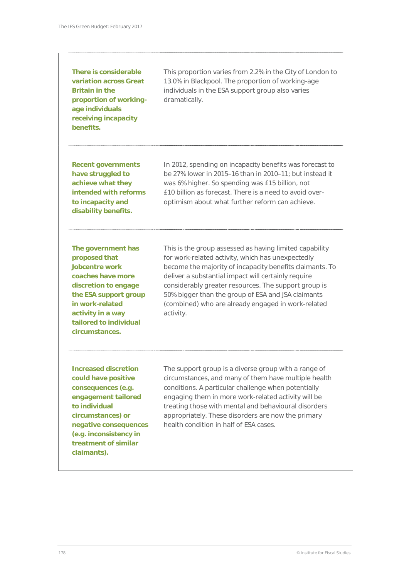**There is considerable variation across Great Britain in the proportion of workingage individuals receiving incapacity benefits.** 

This proportion varies from 2.2% in the City of London to 13.0% in Blackpool. The proportion of working-age individuals in the ESA support group also varies dramatically.

**Recent governments have struggled to achieve what they intended with reforms to incapacity and disability benefits.** 

In 2012, spending on incapacity benefits was forecast to be 27% lower in 2015–16 than in 2010–11; but instead it was 6% higher. So spending was £15 billion, not £10 billion as forecast. There is a need to avoid overoptimism about what further reform can achieve.

**The government has proposed that Jobcentre work coaches have more discretion to engage the ESA support group in work-related activity in a way tailored to individual circumstances.** 

This is the group assessed as having limited capability for work-related activity, which has unexpectedly become the majority of incapacity benefits claimants. To deliver a substantial impact will certainly require considerably greater resources. The support group is 50% bigger than the group of ESA and JSA claimants (combined) who are already engaged in work-related activity.

**Increased discretion could have positive consequences (e.g. engagement tailored to individual circumstances) or negative consequences (e.g. inconsistency in treatment of similar claimants).** 

The support group is a diverse group with a range of circumstances, and many of them have multiple health conditions. A particular challenge when potentially engaging them in more work-related activity will be treating those with mental and behavioural disorders appropriately. These disorders are now the primary health condition in half of ESA cases.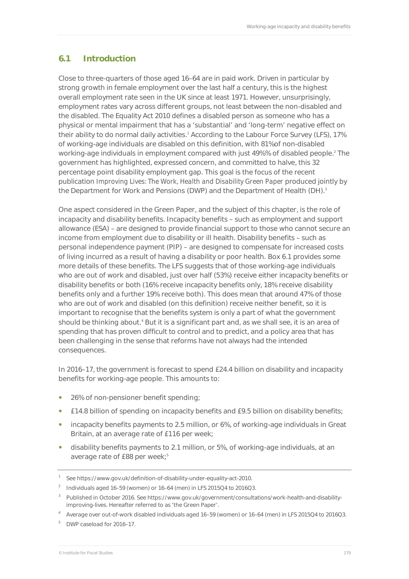# **6.1 Introduction**

Close to three-quarters of those aged 16–64 are in paid work. Driven in particular by strong growth in female employment over the last half a century, this is the highest overall employment rate seen in the UK since at least 1971. However, unsurprisingly, employment rates vary across different groups, not least between the non-disabled and the disabled. The Equality Act 2010 defines a disabled person as someone who has a physical or mental impairment that has a 'substantial' and 'long-term' negative effect on their ability to do normal daily activities.<sup>1</sup> According to the Labour Force Survey (LFS), 17% of working-age individuals are disabled on this definition, with 81%of non-disabled working-age individuals in employment compared with just 49%% of disabled people.<sup>2</sup> The government has highlighted, expressed concern, and committed to halve, this 32 percentage point disability employment gap. This goal is the focus of the recent publication *Improving Lives: The Work, Health and Disability Green Paper* produced jointly by the Department for Work and Pensions (DWP) and the Department of Health (DH).<sup>3</sup>

One aspect considered in the Green Paper, and the subject of this chapter, is the role of incapacity and disability benefits. Incapacity benefits – such as employment and support allowance (ESA) – are designed to provide financial support to those who cannot secure an income from employment due to disability or ill health. Disability benefits – such as personal independence payment (PIP) – are designed to compensate for increased costs of living incurred as a result of having a disability or poor health. Box 6.1 provides some more details of these benefits. The LFS suggests that of those working-age individuals who are out of work and disabled, just over half (53%) receive either incapacity benefits or disability benefits or both (16% receive incapacity benefits only, 18% receive disability benefits only and a further 19% receive both). This does mean that around 47% of those who are out of work and disabled (on this definition) receive neither benefit, so it is important to recognise that the benefits system is only a part of what the government should be thinking about.<sup>4</sup> But it is a significant part and, as we shall see, it is an area of spending that has proven difficult to control and to predict, and a policy area that has been challenging in the sense that reforms have not always had the intended consequences.

In 2016–17, the government is forecast to spend £24.4 billion on disability and incapacity benefits for working-age people. This amounts to:

- 26% of non-pensioner benefit spending;
- £14.8 billion of spending on incapacity benefits and £9.5 billion on disability benefits;
- incapacity benefits payments to 2.5 million, or 6%, of working-age individuals in Great Britain, at an average rate of £116 per week;
- disability benefits payments to 2.1 million, or 5%, of working-age individuals, at an average rate of £88 per week;<sup>5</sup>

<sup>1</sup> See https://www.gov.uk/definition-of-disability-under-equality-act-2010.

<sup>&</sup>lt;sup>2</sup> Individuals aged 16-59 (women) or 16-64 (men) in LFS 2015Q4 to 2016Q3.

<sup>&</sup>lt;sup>3</sup> Published in October 2016. See https://www.gov.uk/government/consultations/work-health-and-disabilityimproving-lives. Hereafter referred to as 'the Green Paper'.

<sup>4</sup> Average over out-of-work disabled individuals aged 16–59 (women) or 16–64 (men) in LFS 2015Q4 to 2016Q3.

<sup>5</sup> DWP caseload for 2016–17.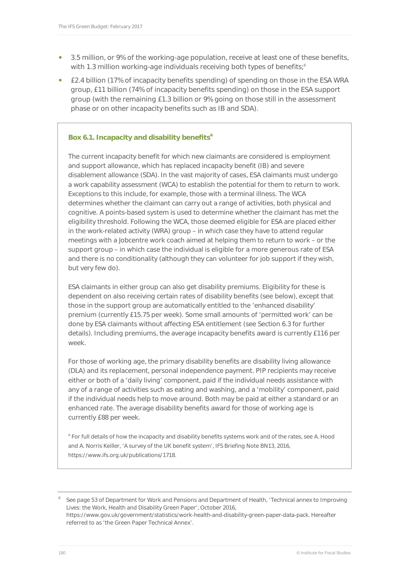- 3.5 million, or 9% of the working-age population, receive at least one of these benefits, with 1.3 million working-age individuals receiving both types of benefits; $^6$
- £2.4 billion (17% of incapacity benefits spending) of spending on those in the ESA WRA group, £11 billion (74% of incapacity benefits spending) on those in the ESA support group (with the remaining £1.3 billion or 9% going on those still in the assessment phase or on other incapacity benefits such as IB and SDA).

#### **Box 6.1. Incapacity and disability benefits**<sup>a</sup>

The current incapacity benefit for which new claimants are considered is employment and support allowance, which has replaced incapacity benefit (IB) and severe disablement allowance (SDA). In the vast majority of cases, ESA claimants must undergo a work capability assessment (WCA) to establish the potential for them to return to work. Exceptions to this include, for example, those with a terminal illness. The WCA determines whether the claimant can carry out a range of activities, both physical and cognitive. A points-based system is used to determine whether the claimant has met the eligibility threshold. Following the WCA, those deemed eligible for ESA are placed either in the work-related activity (WRA) group – in which case they have to attend regular meetings with a Jobcentre work coach aimed at helping them to return to work – or the support group – in which case the individual is eligible for a more generous rate of ESA and there is no conditionality (although they can volunteer for job support if they wish, but very few do).

ESA claimants in either group can also get disability premiums. Eligibility for these is dependent on also receiving certain rates of disability benefits (see below), except that those in the support group are automatically entitled to the 'enhanced disability' premium (currently £15.75 per week). Some small amounts of 'permitted work' can be done by ESA claimants without affecting ESA entitlement (see Section 6.3 for further details). Including premiums, the average incapacity benefits award is currently £116 per week.

For those of working age, the primary disability benefits are disability living allowance (DLA) and its replacement, personal independence payment. PIP recipients may receive either or both of a 'daily living' component, paid if the individual needs assistance with any of a range of activities such as eating and washing, and a 'mobility' component, paid if the individual needs help to move around. Both may be paid at either a standard or an enhanced rate. The average disability benefits award for those of working age is currently £88 per week.

<sup>a</sup> For full details of how the incapacity and disability benefits systems work and of the rates, see A. Hood and A. Norris Keiller, 'A survey of the UK benefit system', IFS Briefing Note BN13, 2016, https://www.ifs.org.uk/publications/1718.

6 See page 53 of Department for Work and Pensions and Department of Health, 'Technical annex to Improving Lives: the Work, Health and Disability Green Paper', October 2016,

https://www.gov.uk/government/statistics/work-health-and-disability-green-paper-data-pack. Hereafter referred to as 'the Green Paper Technical Annex'.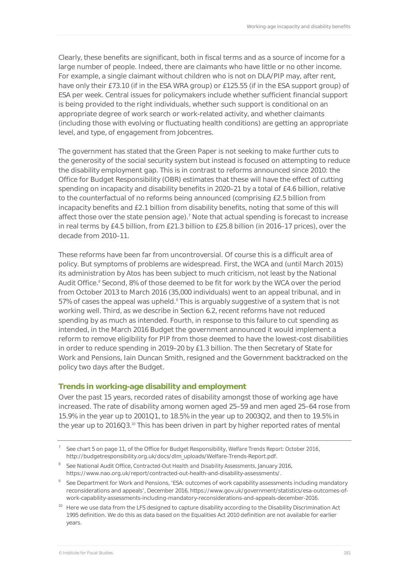Clearly, these benefits are significant, both in fiscal terms and as a source of income for a large number of people. Indeed, there are claimants who have little or no other income. For example, a single claimant without children who is not on DLA/PIP may, after rent, have only their £73.10 (if in the ESA WRA group) or £125.55 (if in the ESA support group) of ESA per week. Central issues for policymakers include whether sufficient financial support is being provided to the right individuals, whether such support is conditional on an appropriate degree of work search or work-related activity, and whether claimants (including those with evolving or fluctuating health conditions) are getting an appropriate level, and type, of engagement from Jobcentres.

The government has stated that the Green Paper is not seeking to make further cuts to the generosity of the social security system but instead is focused on attempting to reduce the disability employment gap. This is in contrast to reforms announced since 2010: the Office for Budget Responsibility (OBR) estimates that these will have the effect of cutting spending on incapacity and disability benefits in 2020–21 by a total of £4.6 billion, relative to the counterfactual of no reforms being announced (comprising £2.5 billion from incapacity benefits and £2.1 billion from disability benefits, noting that some of this will affect those over the state pension age).<sup>7</sup> Note that actual spending is forecast to increase in real terms by £4.5 billion, from £21.3 billion to £25.8 billion (in 2016–17 prices), over the decade from 2010–11.

These reforms have been far from uncontroversial. Of course this is a difficult area of policy. But symptoms of problems are widespread. First, the WCA and (until March 2015) its administration by Atos has been subject to much criticism, not least by the National Audit Office.<sup>8</sup> Second, 8% of those deemed to be fit for work by the WCA over the period from October 2013 to March 2016 (35,000 individuals) went to an appeal tribunal, and in 57% of cases the appeal was upheld.<sup>9</sup> This is arguably suggestive of a system that is not working well. Third, as we describe in Section 6.2, recent reforms have not reduced spending by as much as intended. Fourth, in response to this failure to cut spending as intended, in the March 2016 Budget the government announced it would implement a reform to remove eligibility for PIP from those deemed to have the lowest-cost disabilities in order to reduce spending in 2019–20 by £1.3 billion. The then Secretary of State for Work and Pensions, Iain Duncan Smith, resigned and the Government backtracked on the policy two days after the Budget.

#### **Trends in working-age disability and employment**

Over the past 15 years, recorded rates of disability amongst those of working age have increased. The rate of disability among women aged 25–59 and men aged 25–64 rose from 15.9% in the year up to 2001Q1, to 18.5% in the year up to 2003Q2, and then to 19.5% in the year up to 2016Q3.<sup>10</sup> This has been driven in part by higher reported rates of mental

<sup>7</sup> See chart 5 on page 11, of the Office for Budget Responsibility, *Welfare Trends Report: October 2016*, http://budgetresponsibility.org.uk/docs/dlm\_uploads/Welfare-Trends-Report.pdf.

<sup>8</sup> See National Audit Office, *Contracted-Out Health and Disability Assessments*, January 2016, https://www.nao.org.uk/report/contracted-out-health-and-disability-assessments/.

<sup>&</sup>lt;sup>9</sup> See Department for Work and Pensions, 'ESA: outcomes of work capability assessments including mandatory reconsiderations and appeals', December 2016, https://www.gov.uk/government/statistics/esa-outcomes-ofwork-capability-assessments-including-mandatory-reconsiderations-and-appeals-december-2016.

<sup>&</sup>lt;sup>10</sup> Here we use data from the LFS designed to capture disability according to the Disability Discrimination Act 1995 definition. We do this as data based on the Equalities Act 2010 definition are not available for earlier years.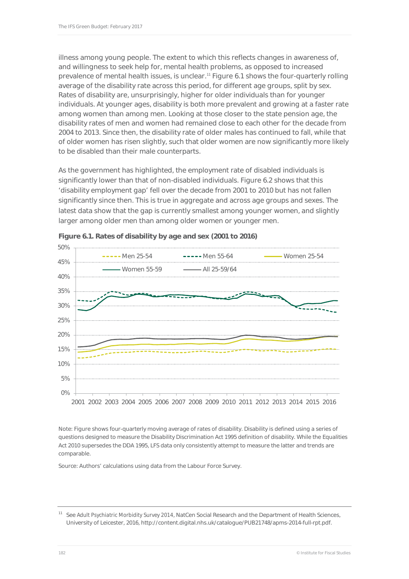illness among young people. The extent to which this reflects changes in awareness of, and willingness to seek help for, mental health problems, as opposed to increased prevalence of mental health issues, is unclear.<sup>11</sup> Figure 6.1 shows the four-quarterly rolling average of the disability rate across this period, for different age groups, split by sex. Rates of disability are, unsurprisingly, higher for older individuals than for younger individuals. At younger ages, disability is both more prevalent and growing at a faster rate among women than among men. Looking at those closer to the state pension age, the disability rates of men and women had remained close to each other for the decade from 2004 to 2013. Since then, the disability rate of older males has continued to fall, while that of older women has risen slightly, such that older women are now significantly more likely to be disabled than their male counterparts.

As the government has highlighted, the employment rate of disabled individuals is significantly lower than that of non-disabled individuals. Figure 6.2 shows that this 'disability employment gap' fell over the decade from 2001 to 2010 but has not fallen significantly since then. This is true in aggregate and across age groups and sexes. The latest data show that the gap is currently smallest among younger women, and slightly larger among older men than among older women or younger men.



**Figure 6.1. Rates of disability by age and sex (2001 to 2016)** 

Note: Figure shows four-quarterly moving average of rates of disability. Disability is defined using a series of questions designed to measure the Disability Discrimination Act 1995 definition of disability. While the Equalities Act 2010 supersedes the DDA 1995, LFS data only consistently attempt to measure the latter and trends are comparable.

Source: Authors' calculations using data from the Labour Force Survey.

<sup>&</sup>lt;sup>11</sup> See *Adult Psychiatric Morbidity Survey 2014*, NatCen Social Research and the Department of Health Sciences, University of Leicester, 2016, http://content.digital.nhs.uk/catalogue/PUB21748/apms-2014-full-rpt.pdf.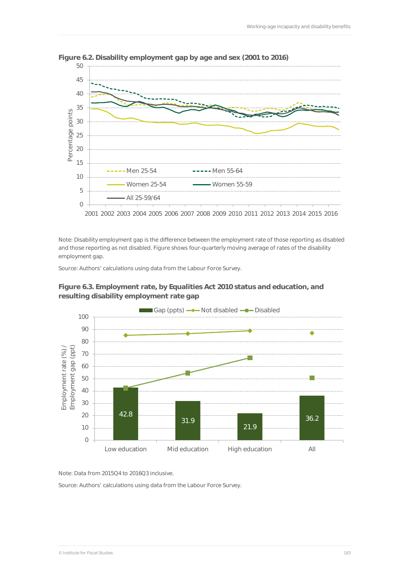

**Figure 6.2. Disability employment gap by age and sex (2001 to 2016)** 

Note: Disability employment gap is the difference between the employment rate of those reporting as disabled and those reporting as not disabled. Figure shows four-quarterly moving average of rates of the disability employment gap.

Source: Authors' calculations using data from the Labour Force Survey.





Note: Data from 2015Q4 to 2016Q3 inclusive.

Source: Authors' calculations using data from the Labour Force Survey.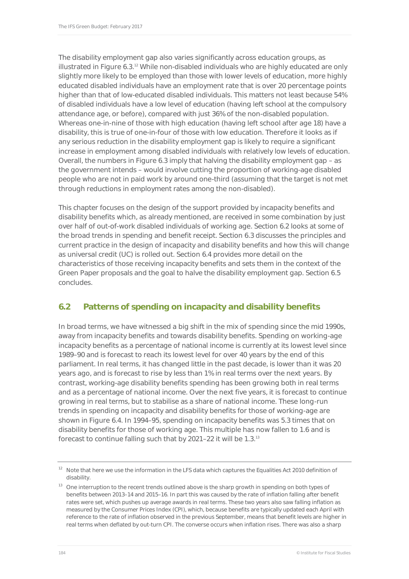The disability employment gap also varies significantly across education groups, as illustrated in Figure 6.3.<sup>12</sup> While non-disabled individuals who are highly educated are only slightly more likely to be employed than those with lower levels of education, more highly educated disabled individuals have an employment rate that is over 20 percentage points higher than that of low-educated disabled individuals. This matters not least because 54% of disabled individuals have a low level of education (having left school at the compulsory attendance age, or before), compared with just 36% of the non-disabled population. Whereas one-in-nine of those with high education (having left school after age 18) have a disability, this is true of one-in-four of those with low education. Therefore it looks as if any serious reduction in the disability employment gap is likely to require a significant increase in employment among disabled individuals with relatively low levels of education. Overall, the numbers in Figure 6.3 imply that halving the disability employment gap – as the government intends – would involve cutting the proportion of working-age disabled people who are not in paid work by around one-third (assuming that the target is not met through reductions in employment rates among the non-disabled).

This chapter focuses on the design of the support provided by incapacity benefits and disability benefits which, as already mentioned, are received in some combination by just over half of out-of-work disabled individuals of working age. Section 6.2 looks at some of the broad trends in spending and benefit receipt. Section 6.3 discusses the principles and current practice in the design of incapacity and disability benefits and how this will change as universal credit (UC) is rolled out. Section 6.4 provides more detail on the characteristics of those receiving incapacity benefits and sets them in the context of the Green Paper proposals and the goal to halve the disability employment gap. Section 6.5 concludes.

# **6.2 Patterns of spending on incapacity and disability benefits**

In broad terms, we have witnessed a big shift in the mix of spending since the mid 1990s, away from incapacity benefits and towards disability benefits. Spending on working-age incapacity benefits as a percentage of national income is currently at its lowest level since 1989–90 and is forecast to reach its lowest level for over 40 years by the end of this parliament. In real terms, it has changed little in the past decade, is lower than it was 20 years ago, and is forecast to rise by less than 1% in real terms over the next years. By contrast, working-age disability benefits spending has been growing both in real terms and as a percentage of national income. Over the next five years, it is forecast to continue growing in real terms, but to stabilise as a share of national income. These long-run trends in spending on incapacity and disability benefits for those of working-age are shown in Figure 6.4. In 1994–95, spending on incapacity benefits was 5.3 times that on disability benefits for those of working age. This multiple has now fallen to 1.6 and is forecast to continue falling such that by 2021–22 it will be 1.3.13

<sup>&</sup>lt;sup>12</sup> Note that here we use the information in the LFS data which captures the Equalities Act 2010 definition of disability.

<sup>&</sup>lt;sup>13</sup> One interruption to the recent trends outlined above is the sharp growth in spending on both types of benefits between 2013–14 and 2015–16. In part this was caused by the rate of inflation falling after benefit rates were set, which pushes up average awards in real terms. These two years also saw falling inflation as measured by the Consumer Prices Index (CPI), which, because benefits are typically updated each April with reference to the rate of inflation observed in the previous September, means that benefit levels are higher in real terms when deflated by out-turn CPI. The converse occurs when inflation rises. There was also a sharp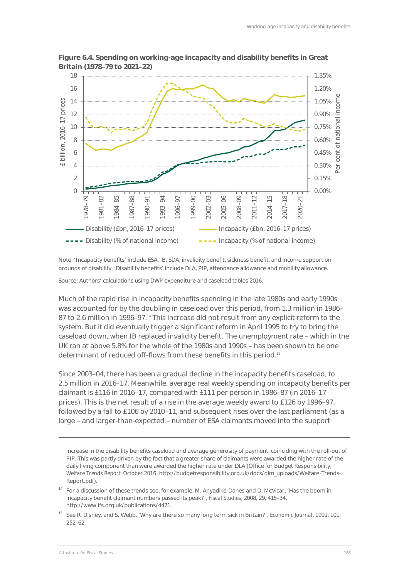

**Figure 6.4. Spending on working-age incapacity and disability benefits in Great Britain (1978–79 to 2021–22)** 

Note: 'Incapacity benefits' include ESA, IB, SDA, invalidity benefit, sickness benefit, and income support on grounds of disability. 'Disability benefits' include DLA, PIP, attendance allowance and mobility allowance.

Source: Authors' calculations using DWP expenditure and caseload tables 2016.

Much of the rapid rise in incapacity benefits spending in the late 1980s and early 1990s was accounted for by the doubling in caseload over this period, from 1.3 million in 1986– 87 to 2.6 million in 1996–97.<sup>14</sup> This increase did not result from any explicit reform to the system. But it did eventually trigger a significant reform in April 1995 to try to bring the caseload down, when IB replaced invalidity benefit. The unemployment rate – which in the UK ran at above 5.8% for the whole of the 1980s and 1990s – has been shown to be one determinant of reduced off-flows from these benefits in this period.15

Since 2003–04, there has been a gradual decline in the incapacity benefits caseload, to 2.5 million in 2016–17. Meanwhile, average real weekly spending on incapacity benefits per claimant is £116 in 2016–17, compared with £111 per person in 1986–87 (in 2016–17 prices). This is the net result of a rise in the average weekly award to £126 by 1996–97, followed by a fall to £106 by 2010–11, and subsequent rises over the last parliament (as a large – and larger-than-expected – number of ESA claimants moved into the support

increase in the disability benefits caseload and average generosity of payment, coinciding with the roll-out of PIP. This was partly driven by the fact that a greater share of claimants were awarded the higher rate of the daily living component than were awarded the higher rate under DLA (Office for Budget Responsibility, *Welfare Trends Report: October 2016*, http://budgetresponsibility.org.uk/docs/dlm\_uploads/Welfare-Trends-Report.pdf).

- <sup>14</sup> For a discussion of these trends see, for example, M. Anyadike-Danes and D. McVicar, 'Has the boom in incapacity benefit claimant numbers passed its peak?', *Fiscal Studies*, 2008, 29, 415–34, http://www.ifs.org.uk/publications/4471.
- 15 See R. Disney, and S. Webb, 'Why are there so many long term sick in Britain?', *Economic Journal*, 1991, 101, 252–62.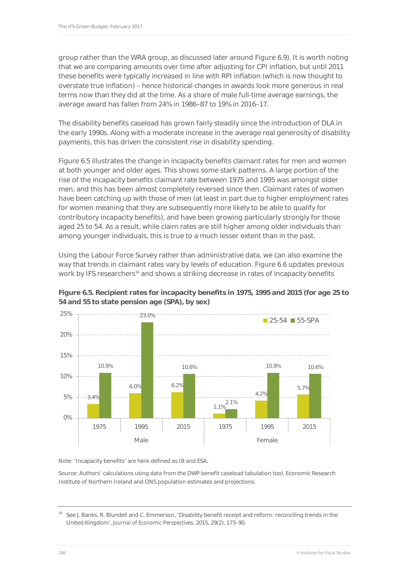group rather than the WRA group, as discussed later around Figure 6.9). It is worth noting that we are comparing amounts over time after adjusting for CPI inflation, but until 2011 these benefits were typically increased in line with RPI inflation (which is now thought to overstate true inflation) – hence historical changes in awards look more generous in real terms now than they did at the time. As a share of male full-time average earnings, the average award has fallen from 24% in 1986–87 to 19% in 2016–17.

The disability benefits caseload has grown fairly steadily since the introduction of DLA in the early 1990s. Along with a moderate increase in the average real generosity of disability payments, this has driven the consistent rise in disability spending.

Figure 6.5 illustrates the change in incapacity benefits claimant rates for men and women at both younger and older ages. This shows some stark patterns. A large portion of the rise of the incapacity benefits claimant rate between 1975 and 1995 was amongst older men, and this has been almost completely reversed since then. Claimant rates of women have been catching up with those of men (at least in part due to higher employment rates for women meaning that they are subsequently more likely to be able to qualify for contributory incapacity benefits), and have been growing particularly strongly for those aged 25 to 54. As a result, while claim rates are still higher among older individuals than among younger individuals, this is true to a much lesser extent than in the past.

Using the Labour Force Survey rather than administrative data, we can also examine the way that trends in claimant rates vary by levels of education. Figure 6.6 updates previous work by IFS researchers<sup>16</sup> and shows a striking decrease in rates of incapacity benefits



**Figure 6.5. Recipient rates for incapacity benefits in 1975, 1995 and 2015 (for age 25 to 54 and 55 to state pension age (SPA), by sex)** 

Note: 'Incapacity benefits' are here defined as IB and ESA.

Source: Authors' calculations using data from the DWP benefit caseload tabulation tool, Economic Research Institute of Northern Ireland and ONS population estimates and projections.

1975 1995 2015 1975 1995 2015 Male **Female** 

<sup>&</sup>lt;sup>16</sup> See J. Banks, R. Blundell and C. Emmerson, 'Disability benefit receipt and reform: reconciling trends in the United Kingdom', *Journal of Economic Perspectives*, 2015, 29(2), 173–90.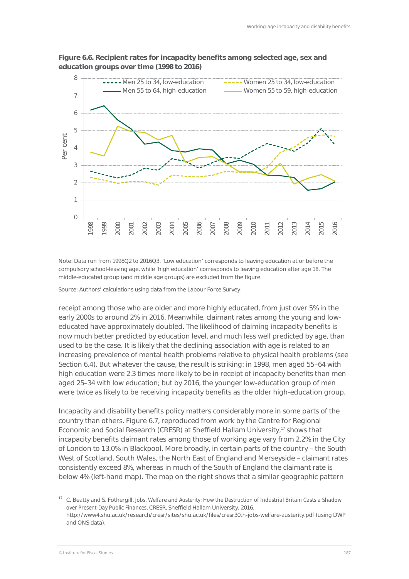

#### **Figure 6.6. Recipient rates for incapacity benefits among selected age, sex and education groups over time (1998 to 2016)**

Note: Data run from 1998Q2 to 2016Q3. 'Low education' corresponds to leaving education at or before the compulsory school-leaving age, while 'high education' corresponds to leaving education after age 18. The middle-educated group (and middle age groups) are excluded from the figure.

Source: Authors' calculations using data from the Labour Force Survey.

receipt among those who are older and more highly educated, from just over 5% in the early 2000s to around 2% in 2016. Meanwhile, claimant rates among the young and loweducated have approximately doubled. The likelihood of claiming incapacity benefits is now much better predicted by education level, and much less well predicted by age, than used to be the case. It is likely that the declining association with age is related to an increasing prevalence of mental health problems relative to physical health problems (see Section 6.4). But whatever the cause, the result is striking: in 1998, men aged 55–64 with high education were 2.3 times more likely to be in receipt of incapacity benefits than men aged 25–34 with low education; but by 2016, the younger low-education group of men were twice as likely to be receiving incapacity benefits as the older high-education group.

Incapacity and disability benefits policy matters considerably more in some parts of the country than others. Figure 6.7, reproduced from work by the Centre for Regional Economic and Social Research (CRESR) at Sheffield Hallam University,17 shows that incapacity benefits claimant rates among those of working age vary from 2.2% in the City of London to 13.0% in Blackpool. More broadly, in certain parts of the country – the South West of Scotland, South Wales, the North East of England and Merseyside – claimant rates consistently exceed 8%, whereas in much of the South of England the claimant rate is below 4% (left-hand map). The map on the right shows that a similar geographic pattern

<sup>17</sup> C. Beatty and S. Fothergill, *Jobs, Welfare and Austerity: How the Destruction of Industrial Britain Casts a Shadow over Present-Day Public Finances*, CRESR, Sheffield Hallam University, 2016, http://www4.shu.ac.uk/research/cresr/sites/shu.ac.uk/files/cresr30th-jobs-welfare-austerity.pdf (using DWP and ONS data).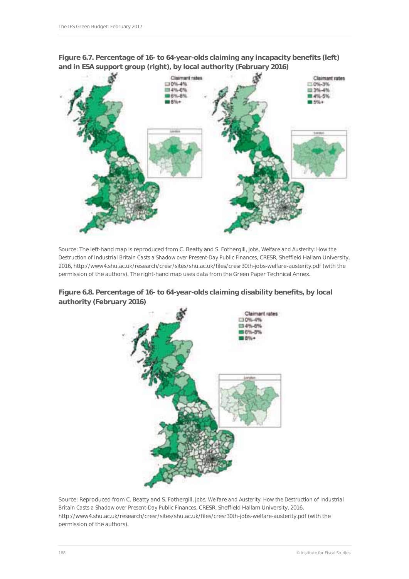

**Figure 6.7. Percentage of 16- to 64-year-olds claiming any incapacity benefits (left) and in ESA support group (right), by local authority (February 2016)** 

Source: The left-hand map is reproduced from C. Beatty and S. Fothergill, *Jobs, Welfare and Austerity: How the Destruction of Industrial Britain Casts a Shadow over Present-Day Public Finances*, CRESR, Sheffield Hallam University, 2016, http://www4.shu.ac.uk/research/cresr/sites/shu.ac.uk/files/cresr30th-jobs-welfare-austerity.pdf (with the permission of the authors). The right-hand map uses data from the Green Paper Technical Annex.





Source: Reproduced from C. Beatty and S. Fothergill, *Jobs, Welfare and Austerity: How the Destruction of Industrial Britain Casts a Shadow over Present-Day Public Finances*, CRESR, Sheffield Hallam University, 2016, http://www4.shu.ac.uk/research/cresr/sites/shu.ac.uk/files/cresr30th-jobs-welfare-austerity.pdf (with the permission of the authors).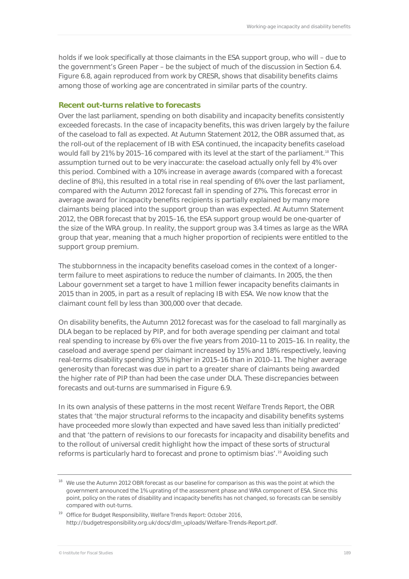holds if we look specifically at those claimants in the ESA support group, who will – due to the government's Green Paper – be the subject of much of the discussion in Section 6.4. Figure 6.8, again reproduced from work by CRESR, shows that disability benefits claims among those of working age are concentrated in similar parts of the country.

#### **Recent out-turns relative to forecasts**

Over the last parliament, spending on both disability and incapacity benefits consistently exceeded forecasts. In the case of incapacity benefits, this was driven largely by the failure of the caseload to fall as expected. At Autumn Statement 2012, the OBR assumed that, as the roll-out of the replacement of IB with ESA continued, the incapacity benefits caseload would fall by 21% by 2015–16 compared with its level at the start of the parliament.<sup>18</sup> This assumption turned out to be very inaccurate: the caseload actually only fell by 4% over this period. Combined with a 10% increase in average awards (compared with a forecast decline of 8%), this resulted in a total rise in real spending of 6% over the last parliament, compared with the Autumn 2012 forecast fall in spending of 27%. This forecast error in average award for incapacity benefits recipients is partially explained by many more claimants being placed into the support group than was expected. At Autumn Statement 2012, the OBR forecast that by 2015–16, the ESA support group would be one-quarter of the size of the WRA group. In reality, the support group was 3.4 times as large as the WRA group that year, meaning that a much higher proportion of recipients were entitled to the support group premium.

The stubbornness in the incapacity benefits caseload comes in the context of a longerterm failure to meet aspirations to reduce the number of claimants. In 2005, the then Labour government set a target to have 1 million fewer incapacity benefits claimants in 2015 than in 2005, in part as a result of replacing IB with ESA. We now know that the claimant count fell by less than 300,000 over that decade.

On disability benefits, the Autumn 2012 forecast was for the caseload to fall marginally as DLA began to be replaced by PIP, and for both average spending per claimant and total real spending to increase by 6% over the five years from 2010–11 to 2015–16. In reality, the caseload and average spend per claimant increased by 15% and 18% respectively, leaving real-terms disability spending 35% higher in 2015–16 than in 2010–11. The higher average generosity than forecast was due in part to a greater share of claimants being awarded the higher rate of PIP than had been the case under DLA. These discrepancies between forecasts and out-turns are summarised in Figure 6.9.

In its own analysis of these patterns in the most recent *Welfare Trends Report*, the OBR states that 'the major structural reforms to the incapacity and disability benefits systems have proceeded more slowly than expected and have saved less than initially predicted' and that 'the pattern of revisions to our forecasts for incapacity and disability benefits and to the rollout of universal credit highlight how the impact of these sorts of structural reforms is particularly hard to forecast and prone to optimism bias'.<sup>19</sup> Avoiding such

<sup>&</sup>lt;sup>18</sup> We use the Autumn 2012 OBR forecast as our baseline for comparison as this was the point at which the government announced the 1% uprating of the assessment phase and WRA component of ESA. Since this point, policy on the rates of disability and incapacity benefits has not changed, so forecasts can be sensibly compared with out-turns.

<sup>19</sup> Office for Budget Responsibility, *Welfare Trends Report: October 2016*, http://budgetresponsibility.org.uk/docs/dlm\_uploads/Welfare-Trends-Report.pdf.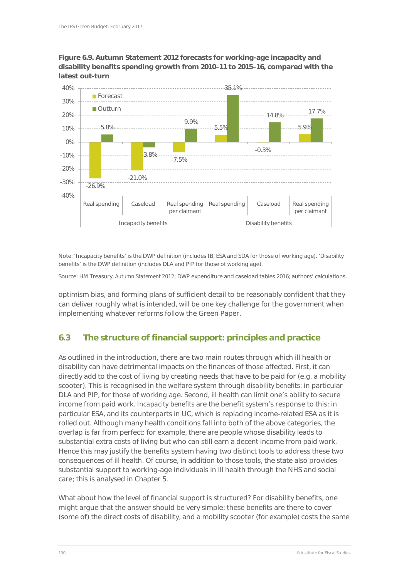



Note: 'Incapacity benefits' is the DWP definition (includes IB, ESA and SDA for those of working age). 'Disability benefits' is the DWP definition (includes DLA and PIP for those of working age).

Source: HM Treasury, *Autumn Statement 2012*; DWP expenditure and caseload tables 2016; authors' calculations.

optimism bias, and forming plans of sufficient detail to be reasonably confident that they can deliver roughly what is intended, will be one key challenge for the government when implementing whatever reforms follow the Green Paper.

# **6.3 The structure of financial support: principles and practice**

As outlined in the introduction, there are two main routes through which ill health or disability can have detrimental impacts on the finances of those affected. First, it can directly add to the cost of living by creating needs that have to be paid for (e.g. a mobility scooter). This is recognised in the welfare system through *disability benefits*: in particular DLA and PIP, for those of working age. Second, ill health can limit one's ability to secure income from paid work. *Incapacity benefits* are the benefit system's response to this: in particular ESA, and its counterparts in UC, which is replacing income-related ESA as it is rolled out. Although many health conditions fall into both of the above categories, the overlap is far from perfect: for example, there are people whose disability leads to substantial extra costs of living but who can still earn a decent income from paid work. Hence this may justify the benefits system having two distinct tools to address these two consequences of ill health. Of course, in addition to those tools, the state also provides substantial support to working-age individuals in ill health through the NHS and social care; this is analysed in Chapter 5.

What about how the level of financial support is structured? For disability benefits, one might argue that the answer should be very simple: these benefits are there to cover (some of) the direct costs of disability, and a mobility scooter (for example) costs the same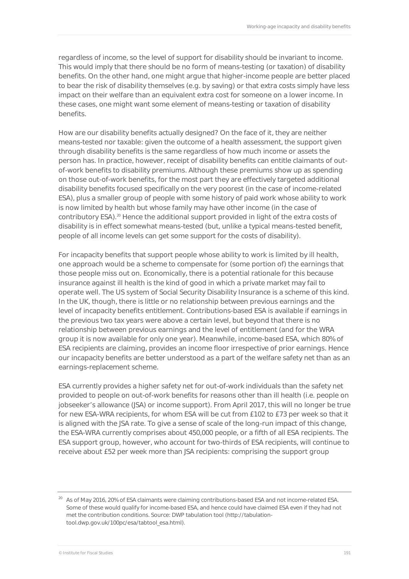regardless of income, so the level of support for disability should be invariant to income. This would imply that there should be no form of means-testing (or taxation) of disability benefits. On the other hand, one might argue that higher-income people are better placed to bear the risk of disability themselves (e.g. by saving) or that extra costs simply have less impact on their welfare than an equivalent extra cost for someone on a lower income. In these cases, one might want some element of means-testing or taxation of disability benefits.

How are our disability benefits actually designed? On the face of it, they are neither means-tested nor taxable: given the outcome of a health assessment, the support given through disability benefits is the same regardless of how much income or assets the person has. In practice, however, receipt of disability benefits can entitle claimants of outof-work benefits to disability premiums. Although these premiums show up as spending on those out-of-work benefits, for the most part they are effectively targeted additional disability benefits focused specifically on the very poorest (in the case of income-related ESA), plus a smaller group of people with some history of paid work whose ability to work is now limited by health but whose family may have other income (in the case of contributory ESA).<sup>20</sup> Hence the additional support provided in light of the extra costs of disability is in effect somewhat means-tested (but, unlike a typical means-tested benefit, people of all income levels can get some support for the costs of disability).

For incapacity benefits that support people whose ability to work is limited by ill health, one approach would be a scheme to compensate for (some portion of) the earnings that those people miss out on. Economically, there is a potential rationale for this because insurance against ill health is the kind of good in which a private market may fail to operate well. The US system of Social Security Disability Insurance is a scheme of this kind. In the UK, though, there is little or no relationship between previous earnings and the level of incapacity benefits entitlement. Contributions-based ESA is available if earnings in the previous two tax years were above a certain level, but beyond that there is no relationship between previous earnings and the level of entitlement (and for the WRA group it is now available for only one year). Meanwhile, income-based ESA, which 80% of ESA recipients are claiming, provides an income floor irrespective of prior earnings. Hence our incapacity benefits are better understood as a part of the welfare safety net than as an earnings-replacement scheme.

ESA currently provides a higher safety net for out-of-work individuals than the safety net provided to people on out-of-work benefits for reasons other than ill health (i.e. people on jobseeker's allowance (JSA) or income support). From April 2017, this will no longer be true for new ESA-WRA recipients, for whom ESA will be cut from £102 to £73 per week so that it is aligned with the JSA rate. To give a sense of scale of the long-run impact of this change, the ESA-WRA currently comprises about 450,000 people, or a fifth of all ESA recipients. The ESA support group, however, who account for two-thirds of ESA recipients, will continue to receive about £52 per week more than JSA recipients: comprising the support group

<sup>&</sup>lt;sup>20</sup> As of May 2016, 20% of ESA claimants were claiming contributions-based ESA and not income-related ESA. Some of these would qualify for income-based ESA, and hence could have claimed ESA even if they had not met the contribution conditions. Source: DWP tabulation tool (http://tabulationtool.dwp.gov.uk/100pc/esa/tabtool\_esa.html).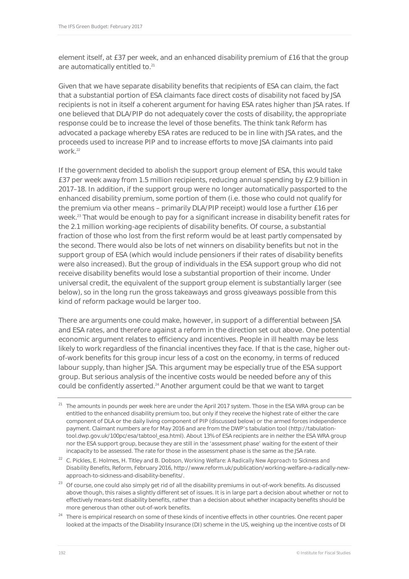element itself, at £37 per week, and an enhanced disability premium of £16 that the group are automatically entitled to.<sup>21</sup>

Given that we have separate disability benefits that recipients of ESA can claim, the fact that a substantial portion of ESA claimants face direct costs of disability not faced by JSA recipients is not in itself a coherent argument for having ESA rates higher than JSA rates. If one believed that DLA/PIP do not adequately cover the costs of disability, the appropriate response could be to increase the level of those benefits. The think tank *Reform* has advocated a package whereby ESA rates are reduced to be in line with JSA rates, and the proceeds used to increase PIP and to increase efforts to move JSA claimants into paid work.22

If the government decided to abolish the support group element of ESA, this would take £37 per week away from 1.5 million recipients, reducing annual spending by £2.9 billion in 2017–18. In addition, if the support group were no longer automatically passported to the enhanced disability premium, some portion of them (i.e. those who could not qualify for the premium via other means – primarily DLA/PIP receipt) would lose a further £16 per week.<sup>23</sup> That would be enough to pay for a significant increase in disability benefit rates for the 2.1 million working-age recipients of disability benefits. Of course, a substantial fraction of those who lost from the first reform would be at least partly compensated by the second. There would also be lots of net winners on disability benefits but not in the support group of ESA (which would include pensioners if their rates of disability benefits were also increased). But the group of individuals in the ESA support group who did not receive disability benefits would lose a substantial proportion of their income. Under universal credit, the equivalent of the support group element is substantially larger (see below), so in the long run the gross takeaways and gross giveaways possible from this kind of reform package would be larger too.

There are arguments one could make, however, in support of a differential between JSA and ESA rates, and therefore against a reform in the direction set out above. One potential economic argument relates to efficiency and incentives. People in ill health may be less likely to work regardless of the financial incentives they face. If that is the case, higher outof-work benefits for this group incur less of a cost on the economy, in terms of reduced labour supply, than higher JSA. This argument may be especially true of the ESA support group. But serious analysis of the incentive costs would be needed before any of this could be confidently asserted.<sup>24</sup> Another argument could be that we want to target

- <sup>21</sup> The amounts in pounds per week here are under the April 2017 system. Those in the ESA WRA group can be entitled to the enhanced disability premium too, but only if they receive the highest rate of either the care component of DLA or the daily living component of PIP (discussed below) or the armed forces independence payment. Claimant numbers are for May 2016 and are from the DWP's tabulation tool (http://tabulationtool.dwp.gov.uk/100pc/esa/tabtool\_esa.html). About 13% of ESA recipients are in neither the ESA WRA group nor the ESA support group, because they are still in the 'assessment phase' waiting for the extent of their incapacity to be assessed. The rate for those in the assessment phase is the same as the JSA rate.
- 22 C. Pickles, E. Holmes, H. Titley and B. Dobson, *Working Welfare: A Radically New Approach to Sickness and Disability Benefits*, Reform, February 2016, http://www.reform.uk/publication/working-welfare-a-radically-newapproach-to-sickness-and-disability-benefits/.
- <sup>23</sup> Of course, one could also simply get rid of all the disability premiums in out-of-work benefits. As discussed above though, this raises a slightly different set of issues. It is in large part a decision about whether or not to effectively means-test disability benefits, rather than a decision about whether incapacity benefits should be more generous than other out-of-work benefits.
- <sup>24</sup> There is empirical research on some of these kinds of incentive effects in other countries. One recent paper looked at the impacts of the Disability Insurance (DI) scheme in the US, weighing up the incentive costs of DI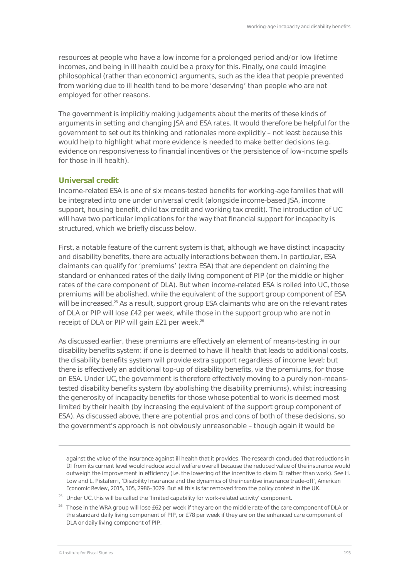resources at people who have a low income for a prolonged period and/or low lifetime incomes, and being in ill health could be a proxy for this. Finally, one could imagine philosophical (rather than economic) arguments, such as the idea that people prevented from working due to ill health tend to be more 'deserving' than people who are not employed for other reasons.

The government is implicitly making judgements about the merits of these kinds of arguments in setting and changing JSA and ESA rates. It would therefore be helpful for the government to set out its thinking and rationales more explicitly – not least because this would help to highlight what more evidence is needed to make better decisions (e.g. evidence on responsiveness to financial incentives or the persistence of low-income spells for those in ill health).

#### **Universal credit**

Income-related ESA is one of six means-tested benefits for working-age families that will be integrated into one under universal credit (alongside income-based JSA, income support, housing benefit, child tax credit and working tax credit). The introduction of UC will have two particular implications for the way that financial support for incapacity is structured, which we briefly discuss below.

First, a notable feature of the current system is that, although we have distinct incapacity and disability benefits, there are actually interactions between them. In particular, ESA claimants can qualify for 'premiums' (extra ESA) that are dependent on claiming the standard or enhanced rates of the daily living component of PIP (or the middle or higher rates of the care component of DLA). But when income-related ESA is rolled into UC, those premiums will be abolished, while the equivalent of the support group component of ESA will be increased.<sup>25</sup> As a result, support group ESA claimants who are on the relevant rates of DLA or PIP will lose £42 per week, while those in the support group who are not in receipt of DLA or PIP will gain £21 per week.<sup>26</sup>

As discussed earlier, these premiums are effectively an element of means-testing in our disability benefits system: if one is deemed to have ill health that leads to additional costs, the disability benefits system will provide extra support regardless of income level; but there is effectively an additional top-up of disability benefits, via the premiums, for those on ESA. Under UC, the government is therefore effectively moving to a purely non-meanstested disability benefits system (by abolishing the disability premiums), whilst increasing the generosity of incapacity benefits for those whose potential to work is deemed most limited by their health (by increasing the equivalent of the support group component of ESA). As discussed above, there are potential pros and cons of both of these decisions, so the government's approach is not obviously unreasonable – though again it would be

against the value of the insurance against ill health that it provides. The research concluded that reductions in DI from its current level would reduce social welfare overall because the reduced value of the insurance would outweigh the improvement in efficiency (i.e. the lowering of the incentive to claim DI rather than work). See H. Low and L. Pistaferri, 'Disability Insurance and the dynamics of the incentive insurance trade-off', *American Economic Review*, 2015, 105, 2986–3029. But all this is far removed from the policy context in the UK.

 $25$  Under UC, this will be called the 'limited capability for work-related activity' component.

 $\overline{a}$ 

<sup>&</sup>lt;sup>26</sup> Those in the WRA group will lose £62 per week if they are on the middle rate of the care component of DLA or the standard daily living component of PIP, or £78 per week if they are on the enhanced care component of DLA or daily living component of PIP.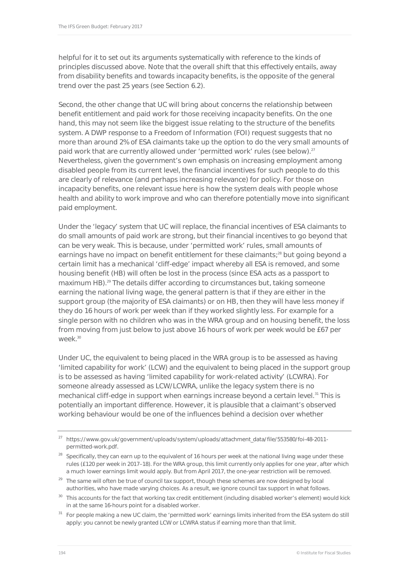helpful for it to set out its arguments systematically with reference to the kinds of principles discussed above. Note that the overall shift that this effectively entails, away from disability benefits and towards incapacity benefits, is the opposite of the general trend over the past 25 years (see Section 6.2).

Second, the other change that UC will bring about concerns the relationship between benefit entitlement and paid work for those receiving incapacity benefits. On the one hand, this may not seem like the biggest issue relating to the structure of the benefits system. A DWP response to a Freedom of Information (FOI) request suggests that no more than around 2% of ESA claimants take up the option to do the very small amounts of paid work that are currently allowed under 'permitted work' rules (see below).<sup>27</sup> Nevertheless, given the government's own emphasis on increasing employment among disabled people from its current level, the financial incentives for such people to do this are clearly of relevance (and perhaps increasing relevance) for policy. For those on incapacity benefits, one relevant issue here is how the system deals with people whose health and ability to work improve and who can therefore potentially move into significant paid employment.

Under the 'legacy' system that UC will replace, the financial incentives of ESA claimants to do small amounts of paid work are strong, but their financial incentives to go beyond that can be very weak. This is because, under 'permitted work' rules, small amounts of earnings have no impact on benefit entitlement for these claimants;<sup>28</sup> but going beyond a certain limit has a mechanical 'cliff-edge' impact whereby all ESA is removed, and some housing benefit (HB) will often be lost in the process (since ESA acts as a passport to maximum HB).<sup>29</sup> The details differ according to circumstances but, taking someone earning the national living wage, the general pattern is that if they are either in the support group (the majority of ESA claimants) or on HB, then they will have less money if they do 16 hours of work per week than if they worked slightly less. For example for a single person with no children who was in the WRA group and on housing benefit, the loss from moving from just below to just above 16 hours of work per week would be £67 per  $WPR<sup>30</sup>$ 

Under UC, the equivalent to being placed in the WRA group is to be assessed as having 'limited capability for work' (LCW) and the equivalent to being placed in the support group is to be assessed as having 'limited capability for work-related activity' (LCWRA). For someone already assessed as LCW/LCWRA, unlike the legacy system there is no mechanical cliff-edge in support when earnings increase beyond a certain level.<sup>31</sup> This is potentially an important difference. However, it is plausible that a claimant's observed working behaviour would be one of the influences behind a decision over whether

- <sup>30</sup> This accounts for the fact that working tax credit entitlement (including disabled worker's element) would kick in at the same 16-hours point for a disabled worker.
- <sup>31</sup> For people making a new UC claim, the 'permitted work' earnings limits inherited from the ESA system do still apply: you cannot be newly granted LCW or LCWRA status if earning more than that limit.

<sup>27</sup> https://www.gov.uk/government/uploads/system/uploads/attachment\_data/file/553580/foi-48-2011 permitted-work.pdf.

<sup>&</sup>lt;sup>28</sup> Specifically, they can earn up to the equivalent of 16 hours per week at the national living wage under these rules (£120 per week in 2017–18). For the WRA group, this limit currently only applies for one year, after which a much lower earnings limit would apply. But from April 2017, the one-year restriction will be removed.

<sup>&</sup>lt;sup>29</sup> The same will often be true of council tax support, though these schemes are now designed by local authorities, who have made varying choices. As a result, we ignore council tax support in what follows.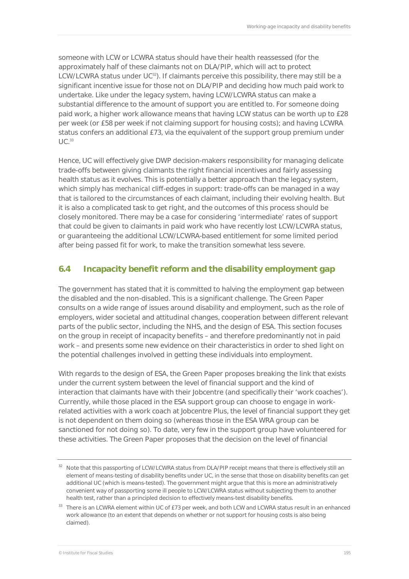someone with LCW or LCWRA status should have their health reassessed (for the approximately half of these claimants not on DLA/PIP, which will act to protect LCW/LCWRA status under  $UC^{32}$ ). If claimants perceive this possibility, there may still be a significant incentive issue for those not on DLA/PIP and deciding how much paid work to undertake. Like under the legacy system, having LCW/LCWRA status can make a substantial difference to the amount of support you are entitled to. For someone doing paid work, a higher work allowance means that having LCW status can be worth up to £28 per week (or £58 per week if not claiming support for housing costs); and having LCWRA status confers an additional £73, via the equivalent of the support group premium under  $\lfloor$   $\lfloor$   $\rfloor$   $\binom{33}{2}$ 

Hence, UC will effectively give DWP decision-makers responsibility for managing delicate trade-offs between giving claimants the right financial incentives and fairly assessing health status as it evolves. This is potentially a better approach than the legacy system, which simply has *mechanical* cliff-edges in support: trade-offs can be managed in a way that is tailored to the circumstances of each claimant, including their evolving health. But it is also a complicated task to get right, and the outcomes of this process should be closely monitored. There may be a case for considering 'intermediate' rates of support that could be given to claimants in paid work who have recently lost LCW/LCWRA status, or guaranteeing the additional LCW/LCWRA-based entitlement for some limited period after being passed fit for work, to make the transition somewhat less severe.

### **6.4 Incapacity benefit reform and the disability employment gap**

The government has stated that it is committed to halving the employment gap between the disabled and the non-disabled. This is a significant challenge. The Green Paper consults on a wide range of issues around disability and employment, such as the role of employers, wider societal and attitudinal changes, cooperation between different relevant parts of the public sector, including the NHS, and the design of ESA. This section focuses on the group in receipt of incapacity benefits – and therefore predominantly not in paid work – and presents some new evidence on their characteristics in order to shed light on the potential challenges involved in getting these individuals into employment.

With regards to the design of ESA, the Green Paper proposes breaking the link that exists under the current system between the level of financial support and the kind of interaction that claimants have with their Jobcentre (and specifically their 'work coaches'). Currently, while those placed in the ESA support group can choose to engage in workrelated activities with a work coach at Jobcentre Plus, the level of financial support they get is not dependent on them doing so (whereas those in the ESA WRA group can be sanctioned for not doing so). To date, very few in the support group have volunteered for these activities. The Green Paper proposes that the decision on the level of financial

<sup>&</sup>lt;sup>32</sup> Note that this passporting of LCW/LCWRA status from DLA/PIP receipt means that there is effectively still an element of means-testing of disability benefits under UC, in the sense that those on disability benefits can get additional UC (which is means-tested). The government might argue that this is more an administratively convenient way of passporting some ill people to LCW/LCWRA status without subjecting them to another health test, rather than a principled decision to effectively means-test disability benefits.

<sup>&</sup>lt;sup>33</sup> There is an LCWRA element within UC of £73 per week, and both LCW and LCWRA status result in an enhanced work allowance (to an extent that depends on whether or not support for housing costs is also being claimed).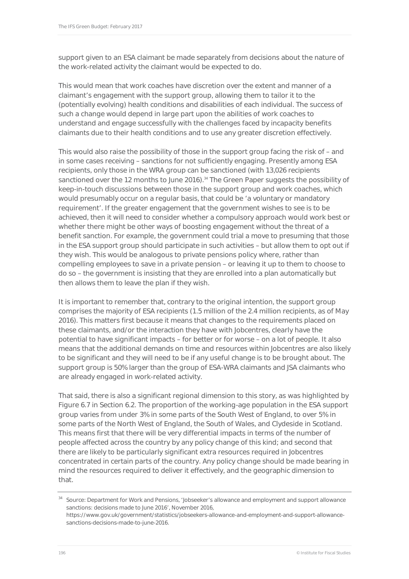support given to an ESA claimant be made separately from decisions about the nature of the work-related activity the claimant would be expected to do.

This would mean that work coaches have discretion over the extent and manner of a claimant's engagement with the support group, allowing them to tailor it to the (potentially evolving) health conditions and disabilities of each individual. The success of such a change would depend in large part upon the abilities of work coaches to understand and engage successfully with the challenges faced by incapacity benefits claimants due to their health conditions and to use any greater discretion effectively.

This would also raise the possibility of those in the support group facing the risk of – and in some cases receiving – sanctions for not sufficiently engaging. Presently among ESA recipients, only those in the WRA group can be sanctioned (with 13,026 recipients sanctioned over the 12 months to June 2016).<sup>34</sup> The Green Paper suggests the possibility of keep-in-touch discussions between those in the support group and work coaches, which would presumably occur on a regular basis, that could be 'a voluntary or mandatory requirement'. If the greater engagement that the government wishes to see is to be achieved, then it will need to consider whether a compulsory approach would work best or whether there might be other ways of boosting engagement without the threat of a benefit sanction. For example, the government could trial a move to presuming that those in the ESA support group should participate in such activities – but allow them to opt out if they wish. This would be analogous to private pensions policy where, rather than compelling employees to save in a private pension – or leaving it up to them to choose to do so – the government is insisting that they are enrolled into a plan automatically but then allows them to leave the plan if they wish.

It is important to remember that, contrary to the original intention, the support group comprises the majority of ESA recipients (1.5 million of the 2.4 million recipients, as of May 2016). This matters first because it means that changes to the requirements placed on these claimants, and/or the interaction they have with Jobcentres, clearly have the potential to have significant impacts – for better or for worse – on a lot of people. It also means that the additional demands on time and resources within Jobcentres are also likely to be significant and they will need to be if any useful change is to be brought about. The support group is 50% larger than the group of ESA-WRA claimants and JSA claimants who are already engaged in work-related activity.

That said, there is also a significant regional dimension to this story, as was highlighted by Figure 6.7 in Section 6.2. The proportion of the working-age population in the ESA support group varies from under 3% in some parts of the South West of England, to over 5% in some parts of the North West of England, the South of Wales, and Clydeside in Scotland. This means first that there will be very differential impacts in terms of the number of people affected across the country by any policy change of this kind; and second that there are likely to be particularly significant extra resources required in Jobcentres concentrated in certain parts of the country. Any policy change should be made bearing in mind the resources required to deliver it effectively, and the geographic dimension to that.

<sup>&</sup>lt;sup>34</sup> Source: Department for Work and Pensions, 'Jobseeker's allowance and employment and support allowance sanctions: decisions made to June 2016', November 2016,

https://www.gov.uk/government/statistics/jobseekers-allowance-and-employment-and-support-allowancesanctions-decisions-made-to-june-2016.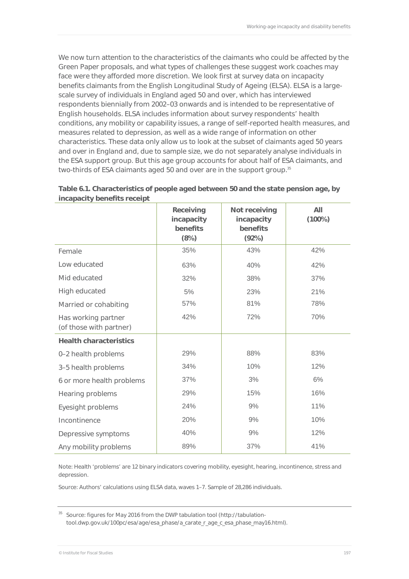We now turn attention to the characteristics of the claimants who could be affected by the Green Paper proposals, and what types of challenges these suggest work coaches may face were they afforded more discretion. We look first at survey data on incapacity benefits claimants from the English Longitudinal Study of Ageing (ELSA). ELSA is a largescale survey of individuals in England aged 50 and over, which has interviewed respondents biennially from 2002–03 onwards and is intended to be representative of English households. ELSA includes information about survey respondents' health conditions, any mobility or capability issues, a range of self-reported health measures, and measures related to depression, as well as a wide range of information on other characteristics. These data only allow us to look at the subset of claimants aged 50 years and over in England and, due to sample size, we do not separately analyse individuals in the ESA support group. But this age group accounts for about half of ESA claimants, and two-thirds of ESA claimants aged 50 and over are in the support group.<sup>35</sup>

|                                                | Receiving<br>Not receiving<br>incapacity<br>incapacity<br>benefits<br>benefits<br>(8%)<br>(92%) |     | AII<br>$(100\%)$ |
|------------------------------------------------|-------------------------------------------------------------------------------------------------|-----|------------------|
| Female                                         | 35%                                                                                             | 43% | 42%              |
| Low educated                                   | 63%                                                                                             | 40% | 42%              |
| Mid educated                                   | 32%                                                                                             | 38% | 37%              |
| High educated                                  | 5%                                                                                              | 23% | 21%              |
| Married or cohabiting                          | 57%                                                                                             | 81% | 78%              |
| Has working partner<br>(of those with partner) | 42%                                                                                             | 72% | 70%              |
| <b>Health characteristics</b>                  |                                                                                                 |     |                  |
| 0-2 health problems                            | 29%                                                                                             | 88% | 83%              |
| 3-5 health problems                            | 34%                                                                                             | 10% | 12%              |
| 6 or more health problems                      | 37%                                                                                             | 3%  | 6%               |
| Hearing problems                               | 29%                                                                                             | 15% | 16%              |
| Eyesight problems                              | 24%                                                                                             | 9%  | 11%              |
| Incontinence                                   | 20%                                                                                             | 9%  | 10%              |
| Depressive symptoms                            | 40%                                                                                             | 9%  | 12%              |
| Any mobility problems                          | 89%                                                                                             | 37% | 41%              |

#### **Table 6.1. Characteristics of people aged between 50 and the state pension age, by incapacity benefits receipt**

Note: Health 'problems' are 12 binary indicators covering mobility, eyesight, hearing, incontinence, stress and depression.

Source: Authors' calculations using ELSA data, waves 1–7. Sample of 28,286 individuals.

<sup>&</sup>lt;sup>35</sup> Source: figures for May 2016 from the DWP tabulation tool (http://tabulationtool.dwp.gov.uk/100pc/esa/age/esa\_phase/a\_carate\_r\_age\_c\_esa\_phase\_may16.html).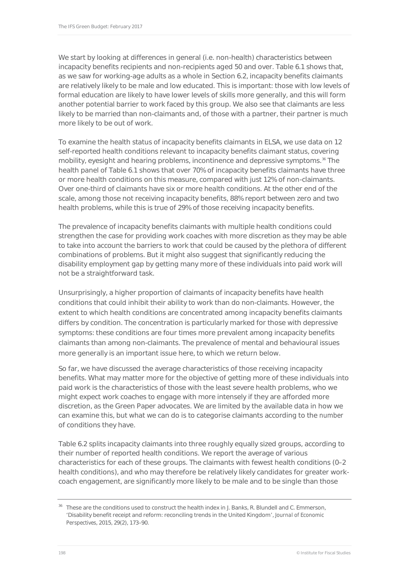We start by looking at differences in general (i.e. non-health) characteristics between incapacity benefits recipients and non-recipients aged 50 and over. Table 6.1 shows that, as we saw for working-age adults as a whole in Section 6.2, incapacity benefits claimants are relatively likely to be male and low educated. This is important: those with low levels of formal education are likely to have lower levels of skills more generally, and this will form another potential barrier to work faced by this group. We also see that claimants are less likely to be married than non-claimants and, of those with a partner, their partner is much more likely to be out of work.

To examine the health status of incapacity benefits claimants in ELSA, we use data on 12 self-reported health conditions relevant to incapacity benefits claimant status, covering mobility, eyesight and hearing problems, incontinence and depressive symptoms.<sup>36</sup> The health panel of Table 6.1 shows that over 70% of incapacity benefits claimants have three or more health conditions on this measure, compared with just 12% of non-claimants. Over one-third of claimants have six or more health conditions. At the other end of the scale, among those not receiving incapacity benefits, 88% report between zero and two health problems, while this is true of 29% of those receiving incapacity benefits.

The prevalence of incapacity benefits claimants with multiple health conditions could strengthen the case for providing work coaches with more discretion as they may be able to take into account the barriers to work that could be caused by the plethora of different combinations of problems. But it might also suggest that significantly reducing the disability employment gap by getting many more of these individuals into paid work will not be a straightforward task.

Unsurprisingly, a higher proportion of claimants of incapacity benefits have health conditions that could inhibit their ability to work than do non-claimants. However, the extent to which health conditions are concentrated among incapacity benefits claimants differs by condition. The concentration is particularly marked for those with depressive symptoms: these conditions are four times more prevalent among incapacity benefits claimants than among non-claimants. The prevalence of mental and behavioural issues more generally is an important issue here, to which we return below.

So far, we have discussed the average characteristics of those receiving incapacity benefits. What may matter more for the objective of getting more of these individuals into paid work is the characteristics of those with the least severe health problems, who we might expect work coaches to engage with more intensely if they are afforded more discretion, as the Green Paper advocates. We are limited by the available data in how we can examine this, but what we can do is to categorise claimants according to the *number* of conditions they have.

Table 6.2 splits incapacity claimants into three roughly equally sized groups, according to their number of reported health conditions. We report the average of various characteristics for each of these groups. The claimants with fewest health conditions (0–2 health conditions), and who may therefore be relatively likely candidates for greater workcoach engagement, are significantly more likely to be male and to be single than those

<sup>&</sup>lt;sup>36</sup> These are the conditions used to construct the health index in J. Banks, R. Blundell and C. Emmerson, 'Disability benefit receipt and reform: reconciling trends in the United Kingdom', *Journal of Economic Perspectives*, 2015, 29(2), 173–90.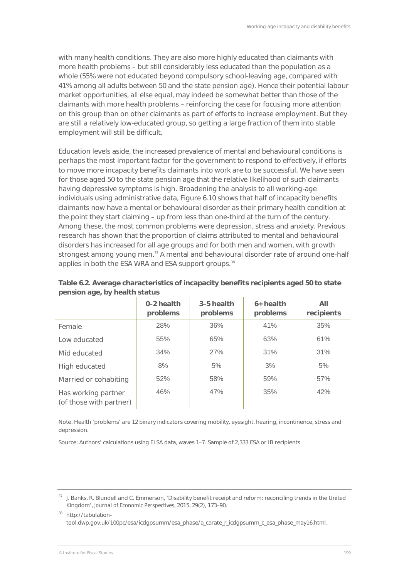with many health conditions. They are also more highly educated than claimants with more health problems – but still considerably less educated than the population as a whole (55% were not educated beyond compulsory school-leaving age, compared with 41% among all adults between 50 and the state pension age). Hence their potential labour market opportunities, all else equal, may indeed be somewhat better than those of the claimants with more health problems – reinforcing the case for focusing more attention on this group than on other claimants as part of efforts to increase employment. But they are still a relatively low-educated group, so getting a large fraction of them into stable employment will still be difficult.

Education levels aside, the increased prevalence of mental and behavioural conditions is perhaps the most important factor for the government to respond to effectively, if efforts to move more incapacity benefits claimants into work are to be successful. We have seen for those aged 50 to the state pension age that the relative likelihood of such claimants having depressive symptoms is high. Broadening the analysis to all working-age individuals using administrative data, Figure 6.10 shows that half of incapacity benefits claimants now have a mental or behavioural disorder as their primary health condition at the point they start claiming – up from less than one-third at the turn of the century. Among these, the most common problems were depression, stress and anxiety. Previous research has shown that the proportion of claims attributed to mental and behavioural disorders has increased for all age groups and for both men and women, with growth strongest among young men.<sup>37</sup> A mental and behavioural disorder rate of around one-half applies in both the ESA WRA and ESA support groups.<sup>38</sup>

|                                                | 0-2 health<br>problems | 3-5 health<br>problems | $6+$ health<br>problems | All<br>recipients |
|------------------------------------------------|------------------------|------------------------|-------------------------|-------------------|
| Female                                         | 28%                    | 36%                    | 41%                     | 35%               |
| Low educated                                   | 55%                    | 65%                    | 63%                     | 61%               |
| Mid educated                                   | 34%                    | 27%                    | 31%                     | 31%               |
| High educated                                  | 8%                     | 5%                     | 3%                      | 5%                |
| Married or cohabiting                          | 52%                    | 58%                    | 59%                     | 57%               |
| Has working partner<br>(of those with partner) | 46%                    | 47%                    | 35%                     | 42%               |

**Table 6.2. Average characteristics of incapacity benefits recipients aged 50 to state pension age, by health status** 

Note: Health 'problems' are 12 binary indicators covering mobility, eyesight, hearing, incontinence, stress and depression.

Source: Authors' calculations using ELSA data, waves 1–7. Sample of 2,333 ESA or IB recipients.

<sup>37</sup> J. Banks, R. Blundell and C. Emmerson, 'Disability benefit receipt and reform: reconciling trends in the United Kingdom', *Journal of Economic Perspectives*, 2015, 29(2), 173–90.

<sup>38</sup> http://tabulationtool.dwp.gov.uk/100pc/esa/icdgpsumm/esa\_phase/a\_carate\_r\_icdgpsumm\_c\_esa\_phase\_may16.html.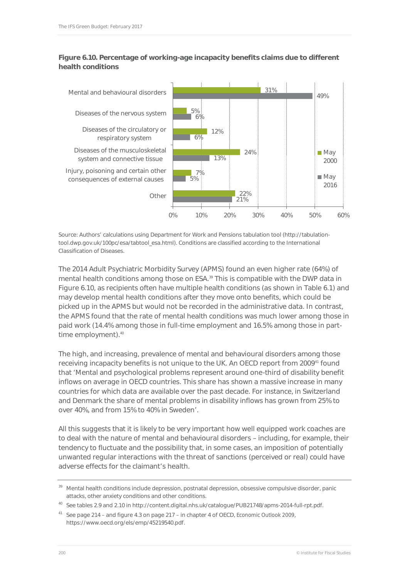#### **Figure 6.10. Percentage of working-age incapacity benefits claims due to different health conditions**



Source: Authors' calculations using Department for Work and Pensions tabulation tool (http://tabulationtool.dwp.gov.uk/100pc/esa/tabtool\_esa.html). Conditions are classified according to the International Classification of Diseases.

The 2014 Adult Psychiatric Morbidity Survey (APMS) found an even higher rate (64%) of mental health conditions among those on ESA.<sup>39</sup> This is compatible with the DWP data in Figure 6.10, as recipients often have multiple health conditions (as shown in Table 6.1) and may develop mental health conditions after they move onto benefits, which could be picked up in the APMS but would not be recorded in the administrative data. In contrast, the APMS found that the rate of mental health conditions was much lower among those in paid work (14.4% among those in full-time employment and 16.5% among those in parttime employment).<sup>40</sup>

The high, and increasing, prevalence of mental and behavioural disorders among those receiving incapacity benefits is not unique to the UK. An OECD report from 2009<sup>41</sup> found that 'Mental and psychological problems represent around one-third of disability benefit inflows on average in OECD countries. This share has shown a massive increase in many countries for which data are available over the past decade. For instance, in Switzerland and Denmark the share of mental problems in disability inflows has grown from 25% to over 40%, and from 15% to 40% in Sweden'.

All this suggests that it is likely to be very important how well equipped work coaches are to deal with the nature of mental and behavioural disorders – including, for example, their tendency to fluctuate and the possibility that, in some cases, an imposition of potentially unwanted regular interactions with the threat of sanctions (perceived or real) could have adverse effects for the claimant's health.

40 See tables 2.9 and 2.10 in http://content.digital.nhs.uk/catalogue/PUB21748/apms-2014-full-rpt.pdf.

<sup>&</sup>lt;sup>39</sup> Mental health conditions include depression, postnatal depression, obsessive compulsive disorder, panic attacks, other anxiety conditions and other conditions.

<sup>41</sup> See page 214 – and figure 4.3 on page 217 – in chapter 4 of OECD, *Economic Outlook 2009*, https://www.oecd.org/els/emp/45219540.pdf.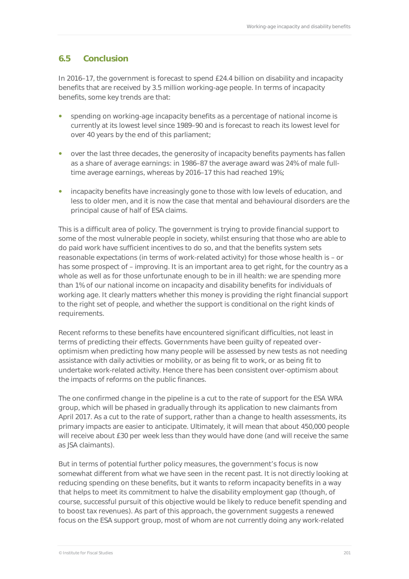## **6.5 Conclusion**

In 2016–17, the government is forecast to spend £24.4 billion on disability and incapacity benefits that are received by 3.5 million working-age people. In terms of incapacity benefits, some key trends are that:

- spending on working-age incapacity benefits as a percentage of national income is currently at its lowest level since 1989–90 and is forecast to reach its lowest level for over 40 years by the end of this parliament;
- over the last three decades, the generosity of incapacity benefits payments has fallen as a share of average earnings: in 1986–87 the average award was 24% of male fulltime average earnings, whereas by 2016–17 this had reached 19%;
- incapacity benefits have increasingly gone to those with low levels of education, and less to older men, and it is now the case that mental and behavioural disorders are the principal cause of half of ESA claims.

This is a difficult area of policy. The government is trying to provide financial support to some of the most vulnerable people in society, whilst ensuring that those who are able to do paid work have sufficient incentives to do so, and that the benefits system sets reasonable expectations (in terms of work-related activity) for those whose health is – or has some prospect of – improving. It is an important area to get right, for the country as a whole as well as for those unfortunate enough to be in ill health: we are spending more than 1% of our national income on incapacity and disability benefits for individuals of working age. It clearly matters whether this money is providing the right financial support to the right set of people, and whether the support is conditional on the right kinds of requirements.

Recent reforms to these benefits have encountered significant difficulties, not least in terms of predicting their effects. Governments have been guilty of repeated overoptimism when predicting how many people will be assessed by new tests as not needing assistance with daily activities or mobility, or as being fit to work, or as being fit to undertake work-related activity. Hence there has been consistent over-optimism about the impacts of reforms on the public finances.

The one confirmed change in the pipeline is a cut to the rate of support for the ESA WRA group, which will be phased in gradually through its application to new claimants from April 2017. As a cut to the rate of support, rather than a change to health assessments, its primary impacts are easier to anticipate. Ultimately, it will mean that about 450,000 people will receive about £30 per week less than they would have done (and will receive the same as JSA claimants).

But in terms of potential further policy measures, the government's focus is now somewhat different from what we have seen in the recent past. It is not directly looking at reducing spending on these benefits, but it wants to reform incapacity benefits in a way that helps to meet its commitment to halve the disability employment gap (though, of course, successful pursuit of this objective would be likely to reduce benefit spending and to boost tax revenues). As part of this approach, the government suggests a renewed focus on the ESA support group, most of whom are not currently doing any work-related